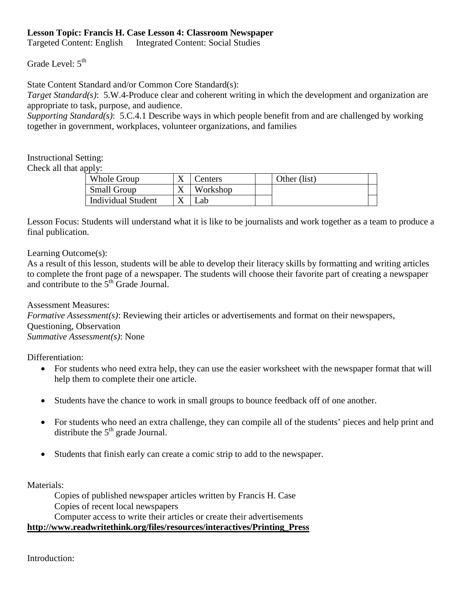## **Lesson Topic: Francis H. Case Lesson 4: Classroom Newspaper**

**Targeted Content: English** Integrated Content: Social Studies

## Grade Level:  $5^{\text{th}}$

State Content Standard and/or Common Core Standard(s):

*Target Standard(s)*: 5.W.4-Produce clear and coherent writing in which the development and organization are appropriate to task, purpose, and audience.

 *Supporting Standard(s)*: 5.C.4.1 Describe ways in which people benefit from and are challenged by working together in government, workplaces, volunteer organizations, and families

## Instructional Setting:

Check all that apply:

| Whole Group               | Centers  | Other (list) |  |
|---------------------------|----------|--------------|--|
| <b>Small Group</b>        | Workshop |              |  |
| <b>Individual Student</b> | مab      |              |  |

 Lesson Focus: Students will understand what it is like to be journalists and work together as a team to produce a final publication.

Learning Outcome(s):

 to complete the front page of a newspaper. The students will choose their favorite part of creating a newspaper As a result of this lesson, students will be able to develop their literacy skills by formatting and writing articles and contribute to the  $5<sup>th</sup>$  Grade Journal.

 *Formative Assessment(s)*: Reviewing their articles or advertisements and format on their newspapers, Assessment Measures: Questioning, Observation *Summative Assessment(s)*: None

Differentiation:

- • For students who need extra help, they can use the easier worksheet with the newspaper format that will help them to complete their one article.
- Students have the chance to work in small groups to bounce feedback off of one another.
- For students who need an extra challenge, they can compile all of the students' pieces and help print and distribute the  $5<sup>th</sup>$  grade Journal.
- Students that finish early can create a comic strip to add to the newspaper.

Materials:

Copies of published newspaper articles written by Francis H. Case Copies of recent local newspapers

Computer access to write their articles or create their advertisements

**[http://www.readwritethink.org/files/resources/interactives/Printing\\_Press](http://www.readwritethink.org/files/resources/interactives/Printing_Press)** 

Introduction: